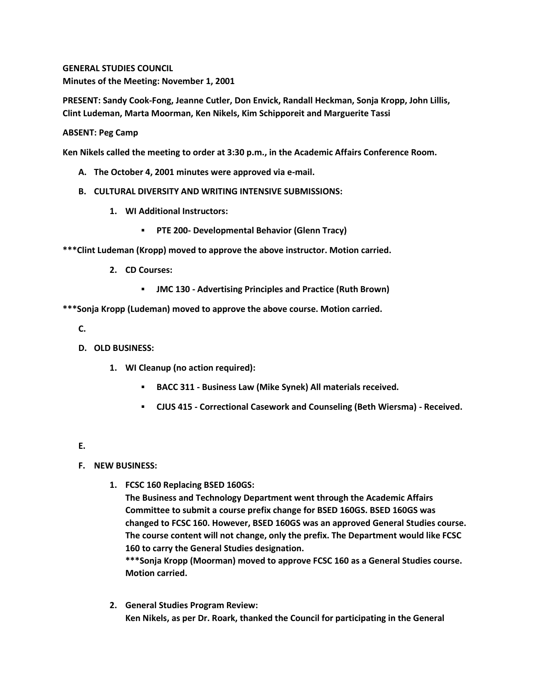**GENERAL STUDIES COUNCIL Minutes of the Meeting: November 1, 2001**

**PRESENT: Sandy Cook-Fong, Jeanne Cutler, Don Envick, Randall Heckman, Sonja Kropp, John Lillis, Clint Ludeman, Marta Moorman, Ken Nikels, Kim Schipporeit and Marguerite Tassi**

## **ABSENT: Peg Camp**

**Ken Nikels called the meeting to order at 3:30 p.m., in the Academic Affairs Conference Room.**

- **A. The October 4, 2001 minutes were approved via e-mail.**
- **B. CULTURAL DIVERSITY AND WRITING INTENSIVE SUBMISSIONS:**
	- **1. WI Additional Instructors:** 
		- **PTE 200- Developmental Behavior (Glenn Tracy)**

**\*\*\*Clint Ludeman (Kropp) moved to approve the above instructor. Motion carried.**

- **2. CD Courses:** 
	- **JMC 130 - Advertising Principles and Practice (Ruth Brown)**

**\*\*\*Sonja Kropp (Ludeman) moved to approve the above course. Motion carried.**

- **C.**
- **D. OLD BUSINESS:**
	- **1. WI Cleanup (no action required):** 
		- **BACC 311 - Business Law (Mike Synek) All materials received.**
		- **CJUS 415 - Correctional Casework and Counseling (Beth Wiersma) - Received.**
- **E.**

- **F. NEW BUSINESS:**
	- **1. FCSC 160 Replacing BSED 160GS:**

**The Business and Technology Department went through the Academic Affairs Committee to submit a course prefix change for BSED 160GS. BSED 160GS was changed to FCSC 160. However, BSED 160GS was an approved General Studies course. The course content will not change, only the prefix. The Department would like FCSC 160 to carry the General Studies designation.**

**\*\*\*Sonja Kropp (Moorman) moved to approve FCSC 160 as a General Studies course. Motion carried.**

**2. General Studies Program Review: Ken Nikels, as per Dr. Roark, thanked the Council for participating in the General**